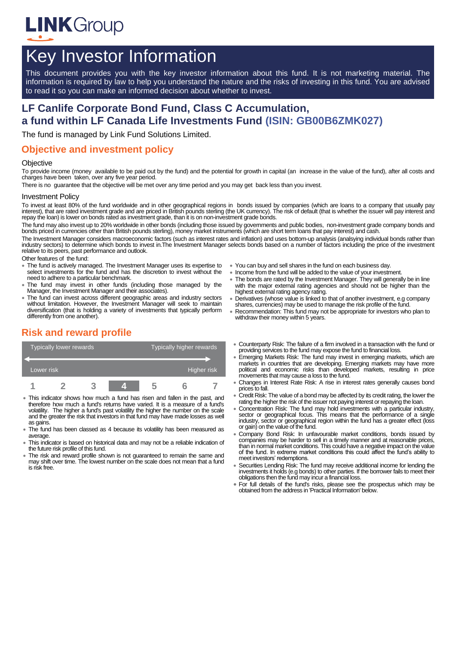

# Key Investor Information

This document provides you with the key investor information about this fund. It is not marketing material. The information is required by law to help you understand the nature and the risks of investing in this fund. You are advised to read it so you can make an informed decision about whether to invest.

# **LF Canlife Corporate Bond Fund, Class C Accumulation, a fund within LF Canada Life Investments Fund (ISIN: GB00B6ZMK027)**

The fund is managed by Link Fund Solutions Limited.

### **Objective and investment policy**

#### **Objective**

To provide income (money available to be paid out by the fund) and the potential for growth in capital (an increase in the value of the fund), after all costs and charges have been taken, over any five year period.

There is no guarantee that the objective will be met over any time period and you may get back less than you invest.

#### Investment Policy

To invest at least 80% of the fund worldwide and in other geographical regions in bonds issued by companies (which are loans to a company that usually pay interest), that are rated investment grade and are priced in British pounds sterling (the UK currency). The risk of default (that is whether the issuer will pay interest and repay the loan) is lower on bonds rated as investment grade, than it is on non-investment grade bonds.

The fund may also invest up to 20% worldwide in other bonds (including those issued by governments and public bodies, non-investment grade company bonds and bonds priced in currencies other than British pounds sterling), money market instruments (which are short term loans that pay interest) and cash.

The Investment Manager considers macroeconomic factors (such as interest rates and inflation) and uses bottom-up analysis (analsying individual bonds rather than industry sectors) to determine which bonds to invest in.The Investment Manager selects bonds based on a number of factors including the price of the investment relative to its peers, past performance and outlook.

Other features of the fund:

- The fund is actively managed. The Investment Manager uses its expertise to select investments for the fund and has the discretion to invest without the need to adhere to a particular benchmark.
- The fund may invest in other funds (including those managed by the Manager, the Investment Manager and their associates).
- The fund can invest across different geographic areas and industry sectors without limitation. However, the Investment Manager will seek to maintain diversification (that is holding a variety of investments that typically perform differently from one another).

### **Risk and reward profile**

| <b>Typically lower rewards</b> |  |  |  | Typically higher rewards |  |  |
|--------------------------------|--|--|--|--------------------------|--|--|
| Lower risk                     |  |  |  | Higher risk              |  |  |
|                                |  |  |  | h                        |  |  |

- This indicator shows how much a fund has risen and fallen in the past, and therefore how much a fund's returns have varied. It is a measure of a fund's volatility. The higher a fund's past volatility the higher the number on the scale and the greater the risk that investors in that fund may have made losses as well as gains.
- The fund has been classed as 4 because its volatility has been measured as average.
- This indicator is based on historical data and may not be a reliable indication of the future risk profile of this fund.
- The risk and reward profile shown is not guaranteed to remain the same and may shift over time. The lowest number on the scale does not mean that a fund is risk free.
- You can buy and sell shares in the fund on each business day.
- Income from the fund will be added to the value of your investment.
- The bonds are rated by the Investment Manager. They will generally be in line with the major external rating agencies and should not be higher than the highest external rating agency rating.
- Derivatives (whose value is linked to that of another investment, e.g company shares, currencies) may be used to manage the risk profile of the fund
- Recommendation: This fund may not be appropriate for investors who plan to withdraw their money within 5 years.
- Counterparty Risk: The failure of a firm involved in a transaction with the fund or providing services to the fund may expose the fund to financial loss.
- Emerging Markets Risk: The fund may invest in emerging markets, which are markets in countries that are developing. Emerging markets may have more political and economic risks than developed markets, resulting in price movements that may cause a loss to the fund.
- Changes in Interest Rate Risk: A rise in interest rates generally causes bond prices to fall.
- Credit Risk: The value of a bond may be affected by its credit rating, the lower the rating the higher the risk of the issuer not paying interest or repaying the loan.
- Concentration Risk: The fund may hold investments with a particular industry, sector or geographical focus. This means that the performance of a single industry, sector or geographical region within the fund has a greater effect (loss or gain) on the value of the fund.
- Company Bond Risk: In unfavourable market conditions, bonds issued by companies may be harder to sell in a timely manner and at reasonable prices, than in normal market conditions. This could have a negative impact on the value of the fund. In extreme market conditions this could affect the fund's ability to meet investors' redemptions.
- Securities Lending Risk: The fund may receive additional income for lending the investments it holds (e.g bonds) to other parties. If the borrower fails to meet their obligations then the fund may incur a financial loss.
- For full details of the fund's risks, please see the prospectus which may be obtained from the address in 'Practical Information' below.